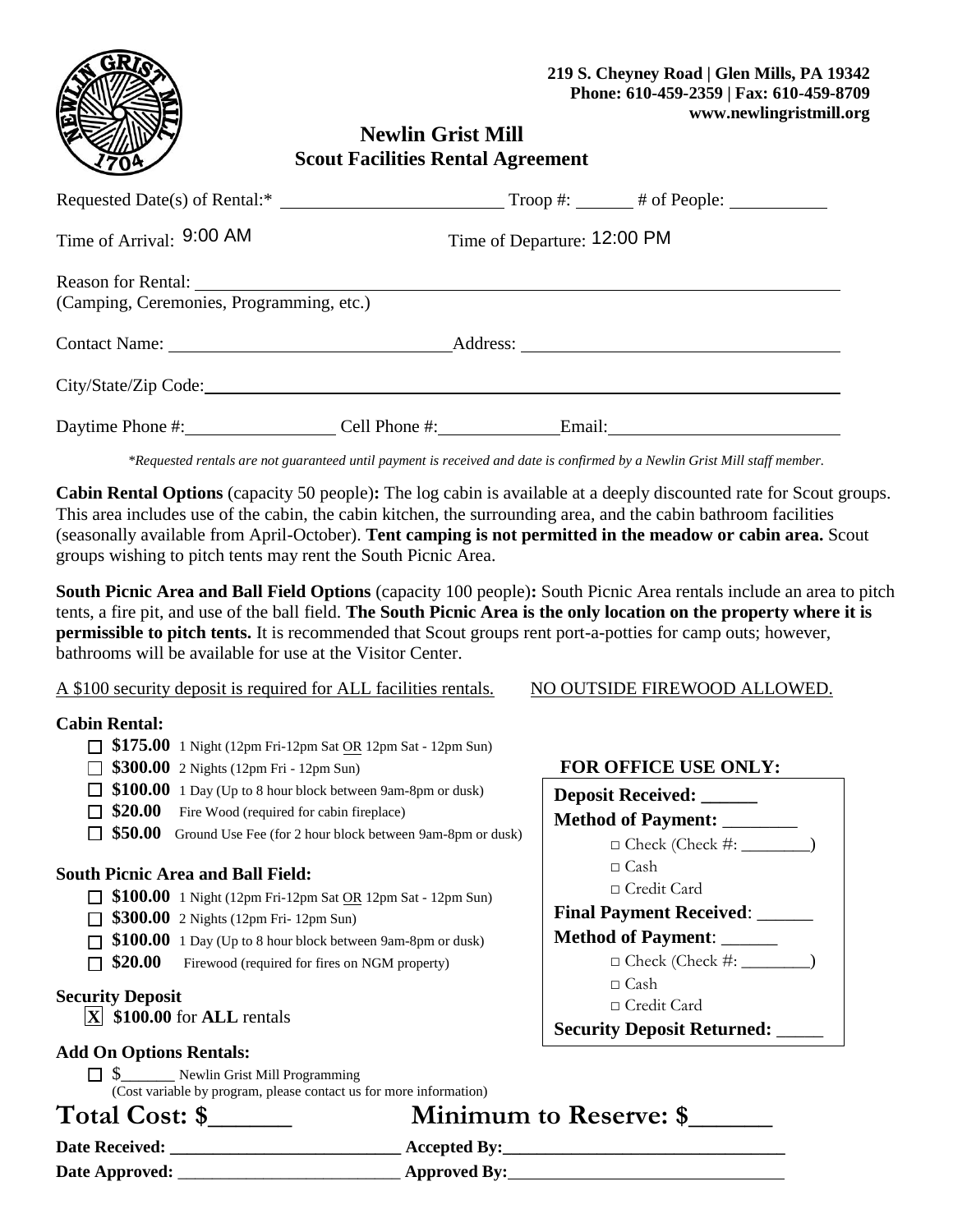

**FOR OFFICE USE ONLY:**

 $\Box$  Check (Check #:  $\_\_$ 

 $\Box$  Check (Check #:  $\Box$ )

**Deposit Received: \_\_\_\_\_\_ Method of Payment:** \_\_\_\_\_\_\_\_

□ Credit Card

□ Credit Card

**Final Payment Received: Method of Payment**: \_\_\_\_\_\_

**Security Deposit Returned:** \_\_\_\_\_

□ Cash

 $\Box$  Cash

# **Newlin Grist Mill Scout Facilities Rental Agreement**

| Requested Date(s) of Rental:*                                                          |               |                             |  |  |
|----------------------------------------------------------------------------------------|---------------|-----------------------------|--|--|
| Time of Arrival: 9:00 AM                                                               |               | Time of Departure: 12:00 PM |  |  |
| Reason for Rental: Next Season for Rental:<br>(Camping, Ceremonies, Programming, etc.) |               |                             |  |  |
|                                                                                        |               |                             |  |  |
| City/State/Zip Code:                                                                   |               |                             |  |  |
| Daytime Phone #:                                                                       | Cell Phone #: | Email:                      |  |  |

*\*Requested rentals are not guaranteed until payment is received and date is confirmed by a Newlin Grist Mill staff member.*

**Cabin Rental Options** (capacity 50 people)**:** The log cabin is available at a deeply discounted rate for Scout groups. This area includes use of the cabin, the cabin kitchen, the surrounding area, and the cabin bathroom facilities (seasonally available from April-October). **Tent camping is not permitted in the meadow or cabin area.** Scout groups wishing to pitch tents may rent the South Picnic Area.

**South Picnic Area and Ball Field Options** (capacity 100 people)**:** South Picnic Area rentals include an area to pitch tents, a fire pit, and use of the ball field. **The South Picnic Area is the only location on the property where it is permissible to pitch tents.** It is recommended that Scout groups rent port-a-potties for camp outs; however, bathrooms will be available for use at the Visitor Center.

A \$100 security deposit is required for ALL facilities rentals. NO OUTSIDE FIREWOOD ALLOWED.

### **Cabin Rental:**

- **\$175.00** 1 Night (12pm Fri-12pm Sat OR 12pm Sat 12pm Sun)
- **\$300.00** 2 Nights (12pm Fri 12pm Sun)
- **5100.00** 1 Day (Up to 8 hour block between 9am-8pm or dusk)
- $\Box$  **\$20.00** Fire Wood (required for cabin fireplace)
- **50.00** Ground Use Fee (for 2 hour block between 9am-8pm or dusk)

### **South Picnic Area and Ball Field:**

- **5100.00** 1 Night (12pm Fri-12pm Sat OR 12pm Sat 12pm Sun)
- **5300.00** 2 Nights (12pm Fri- 12pm Sun)
- **\$100.00** 1 Day (Up to 8 hour block between 9am-8pm or dusk)
- **520.00** Firewood (required for fires on NGM property)

### **Security Deposit**

**X** \$100.00 for **ALL** rentals

### **Add On Options Rentals:**

 $\Box$  \$ \_\_\_\_\_ Newlin Grist Mill Programming (Cost variable by program, please contact us for more information)

**Total Cost: \$\_\_\_\_\_\_ Minimum to Reserve: \$\_\_\_\_\_\_** 

**Date Received: \_\_\_\_\_\_\_\_\_\_\_\_\_\_\_\_\_\_\_\_\_\_\_\_\_\_\_ Accepted By:\_\_\_\_\_\_\_\_\_\_\_\_\_\_\_\_\_\_\_\_\_\_\_\_\_\_\_\_\_\_\_\_\_** 

**Date Approved:** \_\_\_\_\_\_\_\_\_\_\_\_\_\_\_\_\_\_\_\_\_\_\_\_\_\_ **Approved By:**